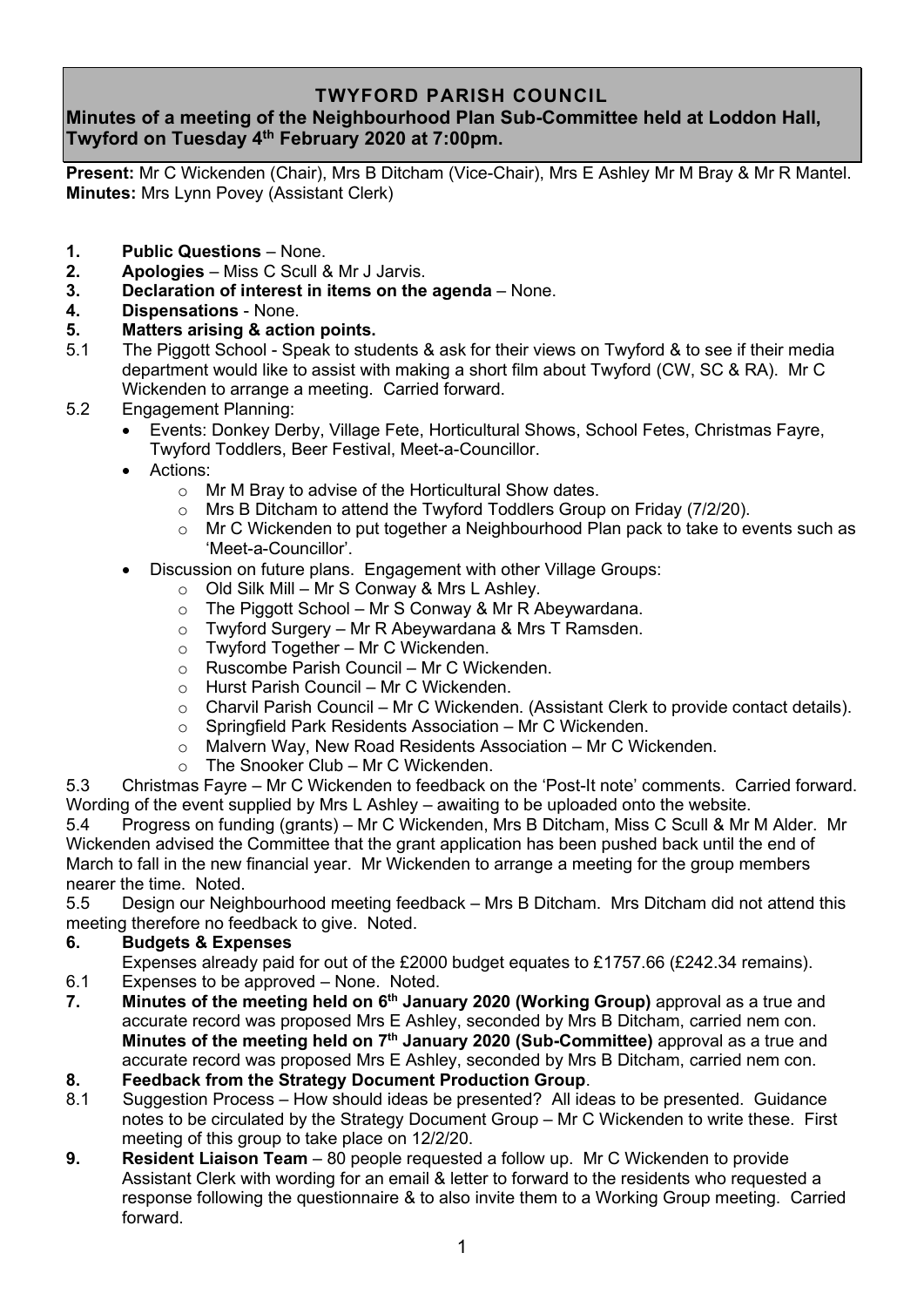## **TWYFORD PARISH COUNCIL**

# **Minutes of a meeting of the Neighbourhood Plan Sub-Committee held at Loddon Hall, Twyford on Tuesday 4 th February 2020 at 7:00pm.**

**Present:** Mr C Wickenden (Chair), Mrs B Ditcham (Vice-Chair), Mrs E Ashley Mr M Bray & Mr R Mantel. **Minutes:** Mrs Lynn Povey (Assistant Clerk)

- **1. Public Questions** None.
- **2. Apologies** Miss C Scull & Mr J Jarvis.
- **3. Declaration of interest in items on the agenda** None.
- **4. Dispensations** None.

### **5. Matters arising & action points.**

- 5.1 The Piggott School Speak to students & ask for their views on Twyford & to see if their media department would like to assist with making a short film about Twyford (CW, SC & RA). Mr C Wickenden to arrange a meeting. Carried forward.
- 5.2 Engagement Planning:
	- Events: Donkey Derby, Village Fete, Horticultural Shows, School Fetes, Christmas Fayre, Twyford Toddlers, Beer Festival, Meet-a-Councillor.
	- Actions<sup>:</sup>
		- o Mr M Bray to advise of the Horticultural Show dates.
		- o Mrs B Ditcham to attend the Twyford Toddlers Group on Friday (7/2/20).
		- o Mr C Wickenden to put together a Neighbourhood Plan pack to take to events such as 'Meet-a-Councillor'.
		- Discussion on future plans. Engagement with other Village Groups:
			- $\circ$  Old Silk Mill Mr S Conway & Mrs L Ashley.
			- $\circ$  The Piggott School Mr S Conway & Mr R Abeywardana.
			- o Twyford Surgery Mr R Abeywardana & Mrs T Ramsden.
			- o Twyford Together Mr C Wickenden.
			- o Ruscombe Parish Council Mr C Wickenden.
			- o Hurst Parish Council Mr C Wickenden.
			- o Charvil Parish Council Mr C Wickenden. (Assistant Clerk to provide contact details).
			- o Springfield Park Residents Association Mr C Wickenden.
			- o Malvern Way, New Road Residents Association Mr C Wickenden.
			- $\circ$  The Snooker Club Mr C Wickenden.

5.3 Christmas Fayre – Mr C Wickenden to feedback on the 'Post-It note' comments. Carried forward. Wording of the event supplied by Mrs L Ashley – awaiting to be uploaded onto the website.

5.4 Progress on funding (grants) – Mr C Wickenden, Mrs B Ditcham, Miss C Scull & Mr M Alder. Mr Wickenden advised the Committee that the grant application has been pushed back until the end of March to fall in the new financial year. Mr Wickenden to arrange a meeting for the group members nearer the time. Noted.

5.5 Design our Neighbourhood meeting feedback – Mrs B Ditcham. Mrs Ditcham did not attend this meeting therefore no feedback to give. Noted.

#### **6. Budgets & Expenses**

 Expenses already paid for out of the £2000 budget equates to £1757.66 (£242.34 remains). 6.1 Expenses to be approved – None. Noted.

- **7. Minutes of the meeting held on 6 th January 2020 (Working Group)** approval as a true and accurate record was proposed Mrs E Ashley, seconded by Mrs B Ditcham, carried nem con. **Minutes of the meeting held on 7 th January 2020 (Sub-Committee)** approval as a true and accurate record was proposed Mrs E Ashley, seconded by Mrs B Ditcham, carried nem con.
- **8. Feedback from the Strategy Document Production Group**.
- 8.1 Suggestion Process How should ideas be presented? All ideas to be presented. Guidance notes to be circulated by the Strategy Document Group – Mr C Wickenden to write these. First meeting of this group to take place on 12/2/20.
- **9. Resident Liaison Team** 80 people requested a follow up. Mr C Wickenden to provide Assistant Clerk with wording for an email & letter to forward to the residents who requested a response following the questionnaire & to also invite them to a Working Group meeting. Carried forward.